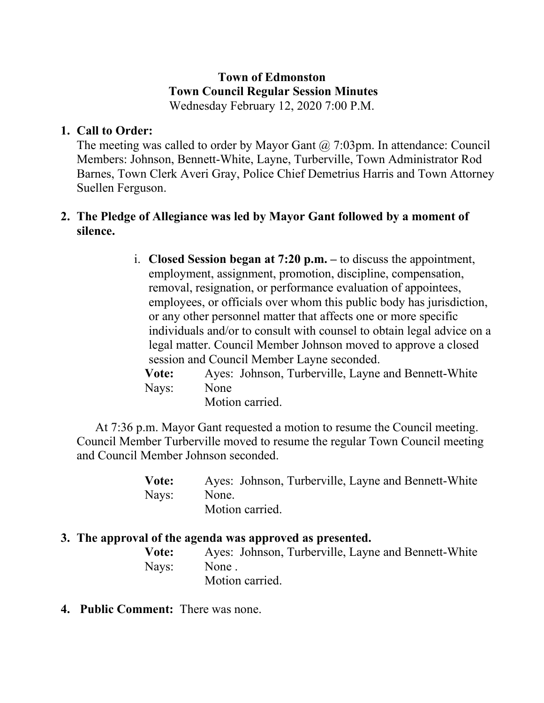#### **Town of Edmonston Town Council Regular Session Minutes** Wednesday February 12, 2020 7:00 P.M.

# **1. Call to Order:**

The meeting was called to order by Mayor Gant  $\omega$  7:03pm. In attendance: Council Members: Johnson, Bennett-White, Layne, Turberville, Town Administrator Rod Barnes, Town Clerk Averi Gray, Police Chief Demetrius Harris and Town Attorney Suellen Ferguson.

# **2. The Pledge of Allegiance was led by Mayor Gant followed by a moment of silence.**

i. **Closed Session began at 7:20 p.m. –** to discuss the appointment, employment, assignment, promotion, discipline, compensation, removal, resignation, or performance evaluation of appointees, employees, or officials over whom this public body has jurisdiction, or any other personnel matter that affects one or more specific individuals and/or to consult with counsel to obtain legal advice on a legal matter. Council Member Johnson moved to approve a closed session and Council Member Layne seconded. **Vote:** Ayes: Johnson, Turberville, Layne and Bennett-White Nays: None

Motion carried.

 At 7:36 p.m. Mayor Gant requested a motion to resume the Council meeting. Council Member Turberville moved to resume the regular Town Council meeting and Council Member Johnson seconded.

| Vote: | Ayes: Johnson, Turberville, Layne and Bennett-White |
|-------|-----------------------------------------------------|
| Nays: | None.                                               |
|       | Motion carried.                                     |

#### **3. The approval of the agenda was approved as presented.**

| Vote: | Ayes: Johnson, Turberville, Layne and Bennett-White |
|-------|-----------------------------------------------------|
|       | Nays: None.                                         |
|       | Motion carried.                                     |

**4. Public Comment:** There was none.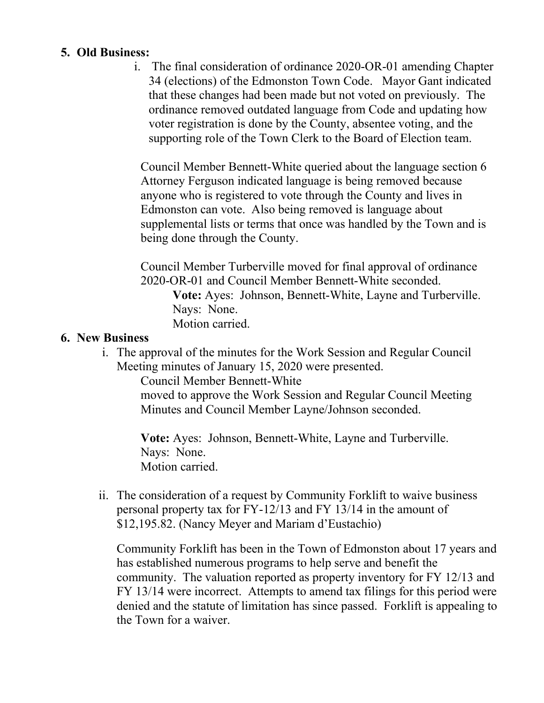## **5. Old Business:**

i. The final consideration of ordinance 2020-OR-01 amending Chapter 34 (elections) of the Edmonston Town Code. Mayor Gant indicated that these changes had been made but not voted on previously. The ordinance removed outdated language from Code and updating how voter registration is done by the County, absentee voting, and the supporting role of the Town Clerk to the Board of Election team.

Council Member Bennett-White queried about the language section 6 Attorney Ferguson indicated language is being removed because anyone who is registered to vote through the County and lives in Edmonston can vote. Also being removed is language about supplemental lists or terms that once was handled by the Town and is being done through the County.

Council Member Turberville moved for final approval of ordinance 2020-OR-01 and Council Member Bennett-White seconded. **Vote:** Ayes: Johnson, Bennett-White, Layne and Turberville. Nays: None. Motion carried.

## **6. New Business**

i. The approval of the minutes for the Work Session and Regular Council Meeting minutes of January 15, 2020 were presented.

Council Member Bennett-White

moved to approve the Work Session and Regular Council Meeting Minutes and Council Member Layne/Johnson seconded.

**Vote:** Ayes: Johnson, Bennett-White, Layne and Turberville. Nays: None. Motion carried.

ii. The consideration of a request by Community Forklift to waive business personal property tax for FY-12/13 and FY 13/14 in the amount of \$12,195.82. (Nancy Meyer and Mariam d'Eustachio)

Community Forklift has been in the Town of Edmonston about 17 years and has established numerous programs to help serve and benefit the community. The valuation reported as property inventory for FY 12/13 and FY 13/14 were incorrect. Attempts to amend tax filings for this period were denied and the statute of limitation has since passed. Forklift is appealing to the Town for a waiver.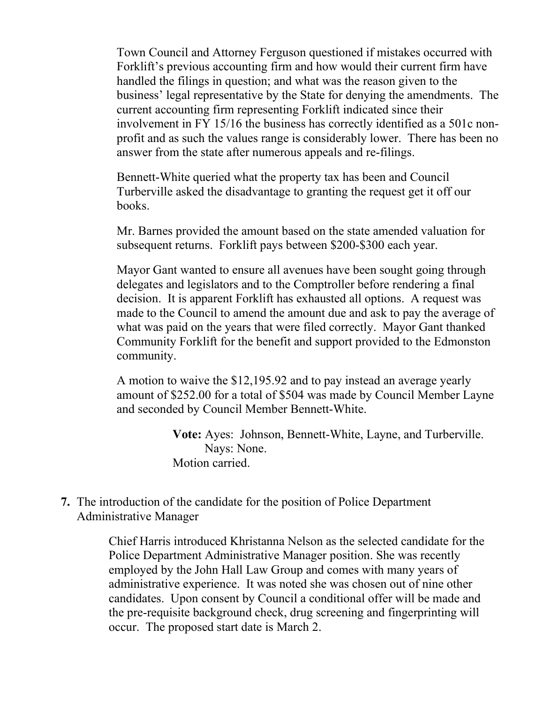Town Council and Attorney Ferguson questioned if mistakes occurred with Forklift's previous accounting firm and how would their current firm have handled the filings in question; and what was the reason given to the business' legal representative by the State for denying the amendments. The current accounting firm representing Forklift indicated since their involvement in FY 15/16 the business has correctly identified as a 501c nonprofit and as such the values range is considerably lower. There has been no answer from the state after numerous appeals and re-filings.

Bennett-White queried what the property tax has been and Council Turberville asked the disadvantage to granting the request get it off our books.

Mr. Barnes provided the amount based on the state amended valuation for subsequent returns. Forklift pays between \$200-\$300 each year.

Mayor Gant wanted to ensure all avenues have been sought going through delegates and legislators and to the Comptroller before rendering a final decision. It is apparent Forklift has exhausted all options. A request was made to the Council to amend the amount due and ask to pay the average of what was paid on the years that were filed correctly. Mayor Gant thanked Community Forklift for the benefit and support provided to the Edmonston community.

A motion to waive the \$12,195.92 and to pay instead an average yearly amount of \$252.00 for a total of \$504 was made by Council Member Layne and seconded by Council Member Bennett-White.

> **Vote:** Ayes: Johnson, Bennett-White, Layne, and Turberville. Nays: None. Motion carried.

## **7.** The introduction of the candidate for the position of Police Department Administrative Manager

Chief Harris introduced Khristanna Nelson as the selected candidate for the Police Department Administrative Manager position. She was recently employed by the John Hall Law Group and comes with many years of administrative experience. It was noted she was chosen out of nine other candidates. Upon consent by Council a conditional offer will be made and the pre-requisite background check, drug screening and fingerprinting will occur. The proposed start date is March 2.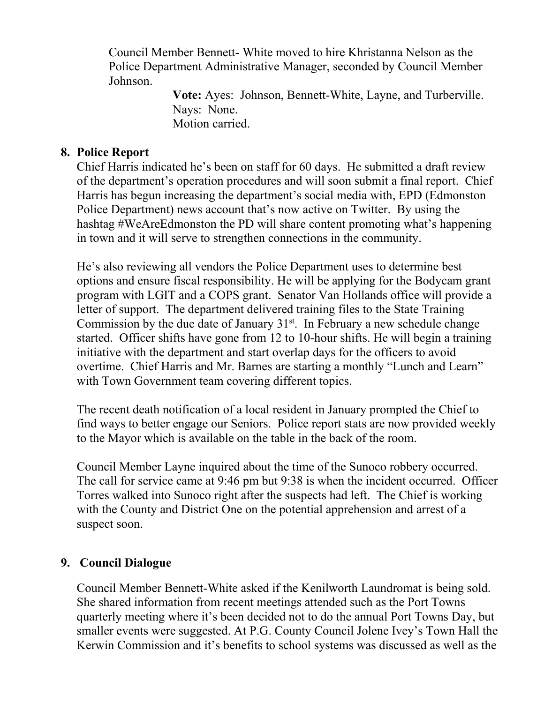Council Member Bennett- White moved to hire Khristanna Nelson as the Police Department Administrative Manager, seconded by Council Member Johnson.

> **Vote:** Ayes: Johnson, Bennett-White, Layne, and Turberville. Nays: None. Motion carried.

## **8. Police Report**

Chief Harris indicated he's been on staff for 60 days. He submitted a draft review of the department's operation procedures and will soon submit a final report. Chief Harris has begun increasing the department's social media with, EPD (Edmonston Police Department) news account that's now active on Twitter. By using the hashtag #WeAreEdmonston the PD will share content promoting what's happening in town and it will serve to strengthen connections in the community.

He's also reviewing all vendors the Police Department uses to determine best options and ensure fiscal responsibility. He will be applying for the Bodycam grant program with LGIT and a COPS grant. Senator Van Hollands office will provide a letter of support. The department delivered training files to the State Training Commission by the due date of January  $31<sup>st</sup>$ . In February a new schedule change started. Officer shifts have gone from 12 to 10-hour shifts. He will begin a training initiative with the department and start overlap days for the officers to avoid overtime. Chief Harris and Mr. Barnes are starting a monthly "Lunch and Learn" with Town Government team covering different topics.

The recent death notification of a local resident in January prompted the Chief to find ways to better engage our Seniors. Police report stats are now provided weekly to the Mayor which is available on the table in the back of the room.

Council Member Layne inquired about the time of the Sunoco robbery occurred. The call for service came at 9:46 pm but 9:38 is when the incident occurred. Officer Torres walked into Sunoco right after the suspects had left. The Chief is working with the County and District One on the potential apprehension and arrest of a suspect soon.

# **9. Council Dialogue**

Council Member Bennett-White asked if the Kenilworth Laundromat is being sold. She shared information from recent meetings attended such as the Port Towns quarterly meeting where it's been decided not to do the annual Port Towns Day, but smaller events were suggested. At P.G. County Council Jolene Ivey's Town Hall the Kerwin Commission and it's benefits to school systems was discussed as well as the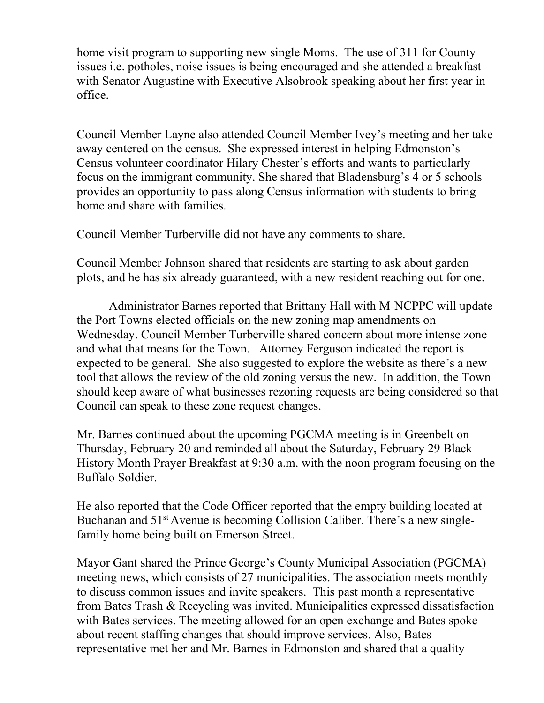home visit program to supporting new single Moms. The use of 311 for County issues i.e. potholes, noise issues is being encouraged and she attended a breakfast with Senator Augustine with Executive Alsobrook speaking about her first year in office.

Council Member Layne also attended Council Member Ivey's meeting and her take away centered on the census. She expressed interest in helping Edmonston's Census volunteer coordinator Hilary Chester's efforts and wants to particularly focus on the immigrant community. She shared that Bladensburg's 4 or 5 schools provides an opportunity to pass along Census information with students to bring home and share with families.

Council Member Turberville did not have any comments to share.

Council Member Johnson shared that residents are starting to ask about garden plots, and he has six already guaranteed, with a new resident reaching out for one.

Administrator Barnes reported that Brittany Hall with M-NCPPC will update the Port Towns elected officials on the new zoning map amendments on Wednesday. Council Member Turberville shared concern about more intense zone and what that means for the Town. Attorney Ferguson indicated the report is expected to be general. She also suggested to explore the website as there's a new tool that allows the review of the old zoning versus the new. In addition, the Town should keep aware of what businesses rezoning requests are being considered so that Council can speak to these zone request changes.

Mr. Barnes continued about the upcoming PGCMA meeting is in Greenbelt on Thursday, February 20 and reminded all about the Saturday, February 29 Black History Month Prayer Breakfast at 9:30 a.m. with the noon program focusing on the Buffalo Soldier.

He also reported that the Code Officer reported that the empty building located at Buchanan and 51<sup>st</sup> Avenue is becoming Collision Caliber. There's a new singlefamily home being built on Emerson Street.

Mayor Gant shared the Prince George's County Municipal Association (PGCMA) meeting news, which consists of 27 municipalities. The association meets monthly to discuss common issues and invite speakers. This past month a representative from Bates Trash & Recycling was invited. Municipalities expressed dissatisfaction with Bates services. The meeting allowed for an open exchange and Bates spoke about recent staffing changes that should improve services. Also, Bates representative met her and Mr. Barnes in Edmonston and shared that a quality